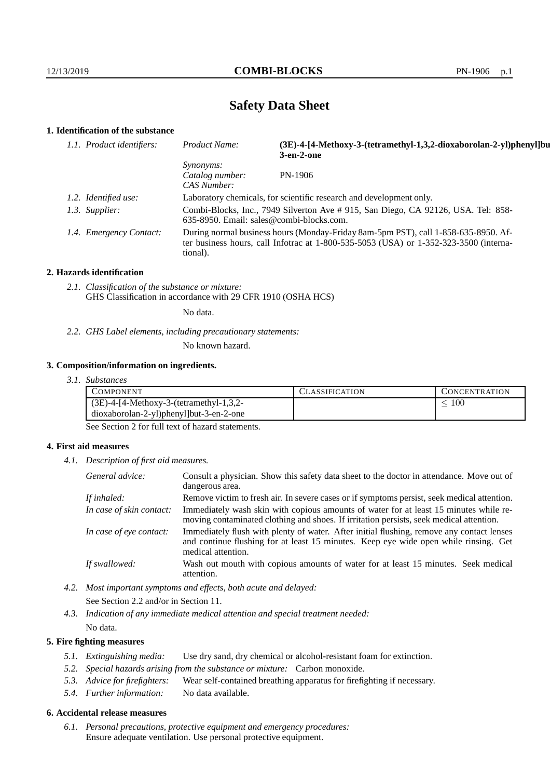# **Safety Data Sheet**

# **1. Identification of the substance**

| 1.1. Product identifiers: | Product Name:                                                                                                                                                                           | (3E)-4-[4-Methoxy-3-(tetramethyl-1,3,2-dioxaborolan-2-yl)phenyl]bu<br>$3$ -en- $2$ -one |
|---------------------------|-----------------------------------------------------------------------------------------------------------------------------------------------------------------------------------------|-----------------------------------------------------------------------------------------|
|                           | <i>Synonyms:</i><br>Catalog number:<br>CAS Number:                                                                                                                                      | PN-1906                                                                                 |
| 1.2. Identified use:      | Laboratory chemicals, for scientific research and development only.                                                                                                                     |                                                                                         |
| 1.3. Supplier:            | Combi-Blocks, Inc., 7949 Silverton Ave # 915, San Diego, CA 92126, USA. Tel: 858-<br>635-8950. Email: sales@combi-blocks.com.                                                           |                                                                                         |
| 1.4. Emergency Contact:   | During normal business hours (Monday-Friday 8am-5pm PST), call 1-858-635-8950. Af-<br>ter business hours, call Infotrac at 1-800-535-5053 (USA) or 1-352-323-3500 (interna-<br>tional). |                                                                                         |

#### **2. Hazards identification**

*2.1. Classification of the substance or mixture:* GHS Classification in accordance with 29 CFR 1910 (OSHA HCS)

No data.

*2.2. GHS Label elements, including precautionary statements:*

No known hazard.

## **3. Composition/information on ingredients.**

*3.1. Substances*

| COMPONENT                                  | L'LASSIFICATION | <b>CONCENTRATION</b> |
|--------------------------------------------|-----------------|----------------------|
| $(3E)$ -4-[4-Methoxy-3-(tetramethyl-1,3,2- |                 | $100\,$              |
| dioxaborolan-2-yl)phenyl]but-3-en-2-one    |                 |                      |

See Section 2 for full text of hazard statements.

## **4. First aid measures**

*4.1. Description of first aid measures.*

| General advice:          | Consult a physician. Show this safety data sheet to the doctor in attendance. Move out of<br>dangerous area.                                                                                            |
|--------------------------|---------------------------------------------------------------------------------------------------------------------------------------------------------------------------------------------------------|
| If inhaled:              | Remove victim to fresh air. In severe cases or if symptoms persist, seek medical attention.                                                                                                             |
| In case of skin contact: | Immediately wash skin with copious amounts of water for at least 15 minutes while re-<br>moving contaminated clothing and shoes. If irritation persists, seek medical attention.                        |
| In case of eye contact:  | Immediately flush with plenty of water. After initial flushing, remove any contact lenses<br>and continue flushing for at least 15 minutes. Keep eye wide open while rinsing. Get<br>medical attention. |
| If swallowed:            | Wash out mouth with copious amounts of water for at least 15 minutes. Seek medical<br>attention.                                                                                                        |

*4.2. Most important symptoms and effects, both acute and delayed:* See Section 2.2 and/or in Section 11.

*4.3. Indication of any immediate medical attention and special treatment needed:* No data.

## **5. Fire fighting measures**

- *5.1. Extinguishing media:* Use dry sand, dry chemical or alcohol-resistant foam for extinction.
- *5.2. Special hazards arising from the substance or mixture:* Carbon monoxide.
- *5.3. Advice for firefighters:* Wear self-contained breathing apparatus for firefighting if necessary.
- *5.4. Further information:* No data available.

## **6. Accidental release measures**

*6.1. Personal precautions, protective equipment and emergency procedures:* Ensure adequate ventilation. Use personal protective equipment.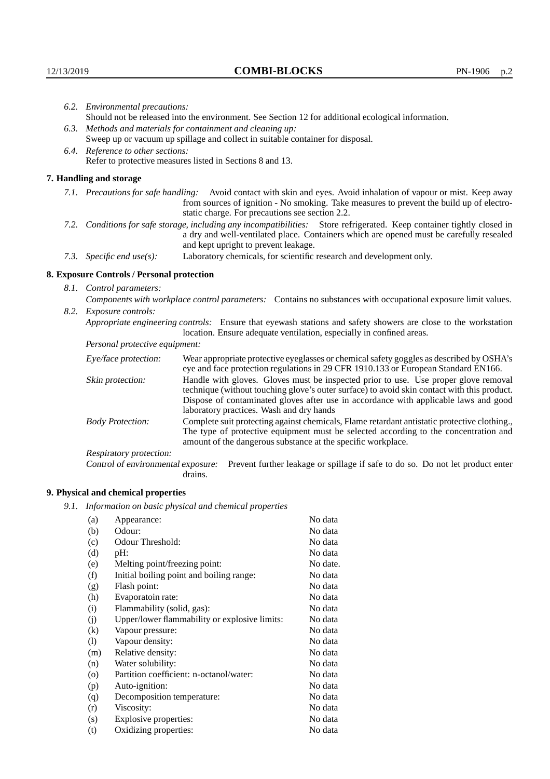Respiratory protection:

**9. Physical and chemical properties**

drains.

(a) Appearance: No data (b) Odour: No data (c) Odour Threshold: No data (d) pH: No data (e) Melting point/freezing point: No date. (f) Initial boiling point and boiling range: No data (g) Flash point: No data (h) Evaporatoin rate: No data (i) Flammability (solid, gas): No data (j) Upper/lower flammability or explosive limits: No data (k) Vapour pressure: No data (l) Vapour density: No data (m) Relative density: No data (n) Water solubility: No data (o) Partition coefficient: n-octanol/water: No data (p) Auto-ignition: No data (q) Decomposition temperature: No data (r) Viscosity: No data (s) Explosive properties: No data (t) Oxidizing properties: No data

*9.1. Information on basic physical and chemical properties*

|                                                                                                                                                                                                                                                            | 6.2. Environmental precautions:                                                                                                                                                                                                                                    |                                                                                                                                                                                                                                                                            |  |  |  |  |  |
|------------------------------------------------------------------------------------------------------------------------------------------------------------------------------------------------------------------------------------------------------------|--------------------------------------------------------------------------------------------------------------------------------------------------------------------------------------------------------------------------------------------------------------------|----------------------------------------------------------------------------------------------------------------------------------------------------------------------------------------------------------------------------------------------------------------------------|--|--|--|--|--|
|                                                                                                                                                                                                                                                            | Should not be released into the environment. See Section 12 for additional ecological information.                                                                                                                                                                 |                                                                                                                                                                                                                                                                            |  |  |  |  |  |
|                                                                                                                                                                                                                                                            | 6.3. Methods and materials for containment and cleaning up:                                                                                                                                                                                                        |                                                                                                                                                                                                                                                                            |  |  |  |  |  |
|                                                                                                                                                                                                                                                            | Sweep up or vacuum up spillage and collect in suitable container for disposal.                                                                                                                                                                                     |                                                                                                                                                                                                                                                                            |  |  |  |  |  |
|                                                                                                                                                                                                                                                            | 6.4. Reference to other sections:                                                                                                                                                                                                                                  |                                                                                                                                                                                                                                                                            |  |  |  |  |  |
|                                                                                                                                                                                                                                                            | Refer to protective measures listed in Sections 8 and 13.                                                                                                                                                                                                          |                                                                                                                                                                                                                                                                            |  |  |  |  |  |
|                                                                                                                                                                                                                                                            | 7. Handling and storage                                                                                                                                                                                                                                            |                                                                                                                                                                                                                                                                            |  |  |  |  |  |
|                                                                                                                                                                                                                                                            | 7.1. Precautions for safe handling: Avoid contact with skin and eyes. Avoid inhalation of vapour or mist. Keep away<br>from sources of ignition - No smoking. Take measures to prevent the build up of electro-<br>static charge. For precautions see section 2.2. |                                                                                                                                                                                                                                                                            |  |  |  |  |  |
| 7.2. Conditions for safe storage, including any incompatibilities: Store refrigerated. Keep container tightly closed in<br>a dry and well-ventilated place. Containers which are opened must be carefully resealed<br>and kept upright to prevent leakage. |                                                                                                                                                                                                                                                                    |                                                                                                                                                                                                                                                                            |  |  |  |  |  |
|                                                                                                                                                                                                                                                            | 7.3. Specific end use(s):                                                                                                                                                                                                                                          | Laboratory chemicals, for scientific research and development only.                                                                                                                                                                                                        |  |  |  |  |  |
|                                                                                                                                                                                                                                                            | 8. Exposure Controls / Personal protection                                                                                                                                                                                                                         |                                                                                                                                                                                                                                                                            |  |  |  |  |  |
|                                                                                                                                                                                                                                                            | 8.1. Control parameters:                                                                                                                                                                                                                                           |                                                                                                                                                                                                                                                                            |  |  |  |  |  |
|                                                                                                                                                                                                                                                            | Components with workplace control parameters: Contains no substances with occupational exposure limit values.                                                                                                                                                      |                                                                                                                                                                                                                                                                            |  |  |  |  |  |
|                                                                                                                                                                                                                                                            | 8.2. Exposure controls:                                                                                                                                                                                                                                            |                                                                                                                                                                                                                                                                            |  |  |  |  |  |
|                                                                                                                                                                                                                                                            | Appropriate engineering controls: Ensure that eyewash stations and safety showers are close to the workstation<br>location. Ensure adequate ventilation, especially in confined areas.                                                                             |                                                                                                                                                                                                                                                                            |  |  |  |  |  |
|                                                                                                                                                                                                                                                            | Personal protective equipment:                                                                                                                                                                                                                                     |                                                                                                                                                                                                                                                                            |  |  |  |  |  |
|                                                                                                                                                                                                                                                            | Eye/face protection:                                                                                                                                                                                                                                               | Wear appropriate protective eyeglasses or chemical safety goggles as described by OSHA's<br>eye and face protection regulations in 29 CFR 1910.133 or European Standard EN166.                                                                                             |  |  |  |  |  |
|                                                                                                                                                                                                                                                            | Skin protection:                                                                                                                                                                                                                                                   | Handle with gloves. Gloves must be inspected prior to use. Use proper glove removal<br>technique (without touching glove's outer surface) to avoid skin contact with this product.<br>Dispose of contaminated gloves after use in accordance with applicable laws and good |  |  |  |  |  |

laboratory practices. Wash and dry hands

Body Protection: Complete suit protecting against chemicals, Flame retardant antistatic protective clothing.,

amount of the dangerous substance at the specific workplace.

Control of environmental exposure: Prevent further leakage or spillage if safe to do so. Do not let product enter

The type of protective equipment must be selected according to the concentration and